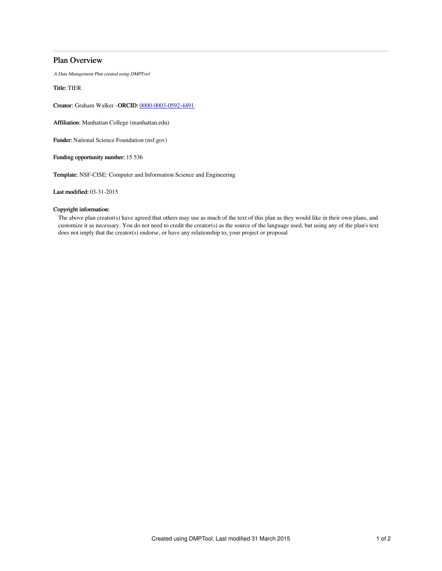# Plan Overview

A Data Management Plan created using DMPTool

Title: TIER

Creator: Graham Walker -ORCID: [0000-0003-0592-4491](https://orcid.org/0000-0003-0592-4491)

Affiliation: Manhattan College (manhattan.edu)

Funder: National Science Foundation (nsf.gov)

Funding opportunity number: 15 536

Template: NSF-CISE: Computer and Information Science and Engineering

Last modified: 03-31-2015

## Copyright information:

The above plan creator(s) have agreed that others may use as much of the text of this plan as they would like in their own plans, and customize it as necessary. You do not need to credit the creator(s) as the source of the language used, but using any of the plan's text does not imply that the creator(s) endorse, or have any relationship to, your project or proposal